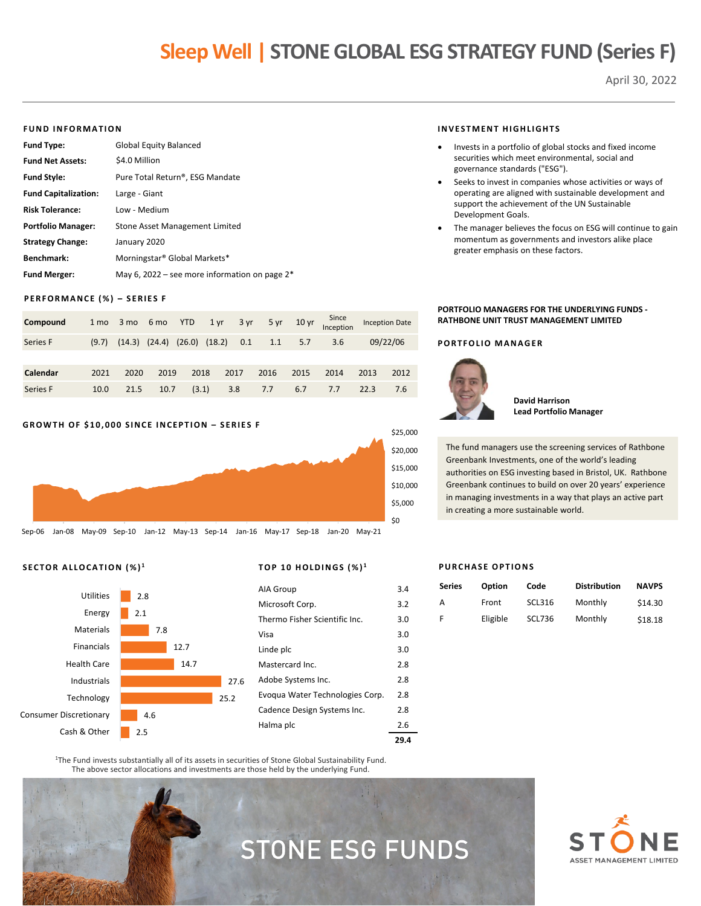## **Sleep Well | STONE GLOBAL ESG STRATEGY FUND (Series F)**

April 30, 2022

#### **FUND INFORMATION**

| <b>Fund Type:</b>           | <b>Global Equity Balanced</b>                    |
|-----------------------------|--------------------------------------------------|
| <b>Fund Net Assets:</b>     | \$4.0 Million                                    |
| <b>Fund Style:</b>          | Pure Total Return®, ESG Mandate                  |
| <b>Fund Capitalization:</b> | Large - Giant                                    |
| <b>Risk Tolerance:</b>      | Low - Medium                                     |
| <b>Portfolio Manager:</b>   | Stone Asset Management Limited                   |
| <b>Strategy Change:</b>     | January 2020                                     |
| Benchmark:                  | Morningstar® Global Markets*                     |
| <b>Fund Merger:</b>         | May 6, 2022 – see more information on page $2^*$ |

#### **PERFORMANCE (%) – SERIES F**

| Compound | 1 mo  |      | 3 mo 6 mo YTD |                                     | $1 \,\mathrm{yr}$ |      | 3 yr 5 yr 10 yr |      | Since<br>Inception |      | <b>Inception Date</b> |
|----------|-------|------|---------------|-------------------------------------|-------------------|------|-----------------|------|--------------------|------|-----------------------|
| Series F | (9.7) |      |               | $(14.3)$ $(24.4)$ $(26.0)$ $(18.2)$ |                   | 0.1  | 1.1             | 5.7  | 3.6                |      | 09/22/06              |
|          |       |      |               |                                     |                   |      |                 |      |                    |      |                       |
| Calendar | 2021  | 2020 | 2019          | 2018                                |                   | 2017 | 2016            | 2015 | 2014               | 2013 | 2012                  |
| Series F | 10.0  | 21.5 | 10.7          | (3.1)                               |                   | 3.8  | 7.7             | 6.7  | 7.7                | 22.3 | 7.6                   |

#### **GROWTH OF \$10,000 SINCE INCEPTION – SERIES F**



#### **SECTOR ALLOCATION (%) <sup>1</sup> TOP 10 HOLDINGS (%) <sup>1</sup>**



| Halma plc                       | 2.6 |
|---------------------------------|-----|
| Cadence Design Systems Inc.     | 2.8 |
| Evoqua Water Technologies Corp. | 2.8 |
| Adobe Systems Inc.              | 2.8 |
| Mastercard Inc.                 | 2.8 |
| Linde plc                       | 3.0 |
| Visa                            | 3.0 |
| Thermo Fisher Scientific Inc.   | 3.0 |
| Microsoft Corp.                 | 3.2 |
| AIA Group                       | 3.4 |
|                                 |     |

<sup>1</sup>The Fund invests substantially all of its assets in securities of Stone Global Sustainability Fund. The above sector allocations and investments are those held by the underlying Fund.

# STONE ESG FUNDS

#### **INVESTMENT HIGHLIGHTS**

- Invests in a portfolio of global stocks and fixed income securities which meet environmental, social and governance standards ("ESG").
- Seeks to invest in companies whose activities or ways of operating are aligned with sustainable development and support the achievement of the UN Sustainable Development Goals.
- The manager believes the focus on ESG will continue to gain momentum as governments and investors alike place greater emphasis on these factors.

#### **PORTFOLIO MANAGERS FOR THE UNDERLYING FUNDS - RATHBONE UNIT TRUST MANAGEMENT LIMITED**

#### **PORTFOLIO MANAGER**



**David Harrison Lead Portfolio Manager**

The fund managers use the screening services of Rathbone Greenbank Investments, one of the world's leading authorities on ESG investing based in Bristol, UK. Rathbone Greenbank continues to build on over 20 years' experience in managing investments in a way that plays an active part in creating a more sustainable world.

#### **PURCHASE OPTIONS**

| Series | Option   | Code          | <b>Distribution</b> | <b>NAVPS</b> |
|--------|----------|---------------|---------------------|--------------|
| А      | Front    | <b>SCL316</b> | Monthly             | \$14.30      |
| F      | Eligible | <b>SCL736</b> | Monthly             | \$18.18      |